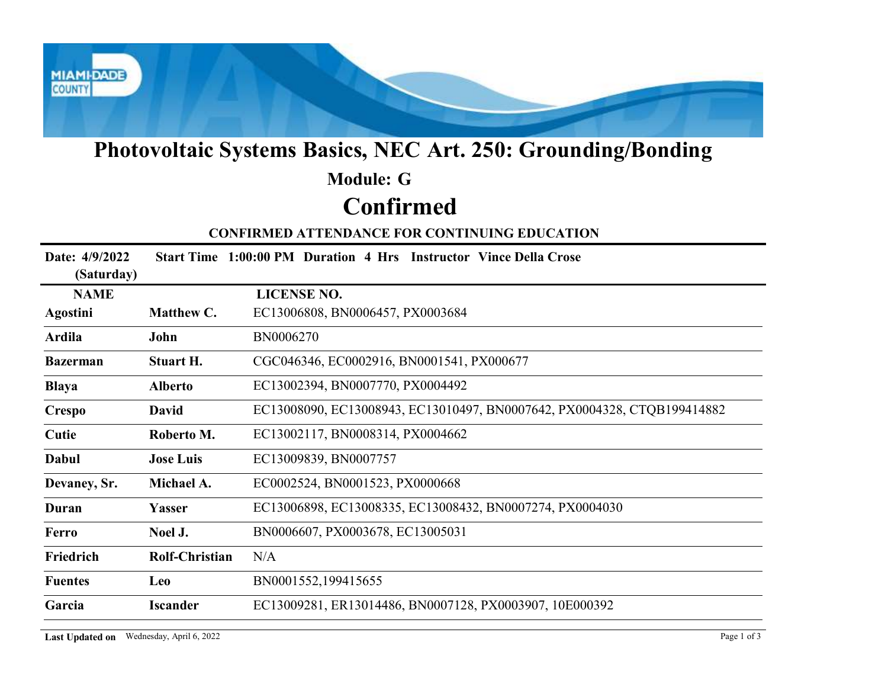

# Photovoltaic Systems Basics, NEC Art. 250: Grounding/Bonding

## Confirmed Module: G

#### CONFIRMED ATTENDANCE FOR CONTINUING EDUCATION

|                              |                                          | <b>Photovoltaic Systems Basics, NEC Art. 250: Grounding/Bonding</b>     |
|------------------------------|------------------------------------------|-------------------------------------------------------------------------|
|                              |                                          | <b>Module: G</b>                                                        |
|                              |                                          | <b>Confirmed</b>                                                        |
|                              |                                          | <b>CONFIRMED ATTENDANCE FOR CONTINUING EDUCATION</b>                    |
| Date: 4/9/2022<br>(Saturday) |                                          | Start Time 1:00:00 PM Duration 4 Hrs Instructor Vince Della Crose       |
| <b>NAME</b>                  |                                          | <b>LICENSE NO.</b>                                                      |
| Agostini                     | Matthew C.                               | EC13006808, BN0006457, PX0003684                                        |
| Ardila                       | John                                     | BN0006270                                                               |
| <b>Bazerman</b>              | <b>Stuart H.</b>                         | CGC046346, EC0002916, BN0001541, PX000677                               |
| <b>Blaya</b>                 | <b>Alberto</b>                           | EC13002394, BN0007770, PX0004492                                        |
| <b>Crespo</b>                | <b>David</b>                             | EC13008090, EC13008943, EC13010497, BN0007642, PX0004328, CTQB199414882 |
| Cutie                        | Roberto M.                               | EC13002117, BN0008314, PX0004662                                        |
| Dabul                        | <b>Jose Luis</b>                         | EC13009839, BN0007757                                                   |
| Devaney, Sr.                 | Michael A.                               | EC0002524, BN0001523, PX0000668                                         |
| Duran                        | Yasser                                   | EC13006898, EC13008335, EC13008432, BN0007274, PX0004030                |
| Ferro                        | Noel J.                                  | BN0006607, PX0003678, EC13005031                                        |
| Friedrich                    | Rolf-Christian                           | N/A                                                                     |
| <b>Fuentes</b>               | <b>Leo</b>                               | BN0001552,199415655                                                     |
| Garcia                       | <b>Iscander</b>                          | EC13009281, ER13014486, BN0007128, PX0003907, 10E000392                 |
|                              | Last Updated on Wednesday, April 6, 2022 | Page 1 of 3                                                             |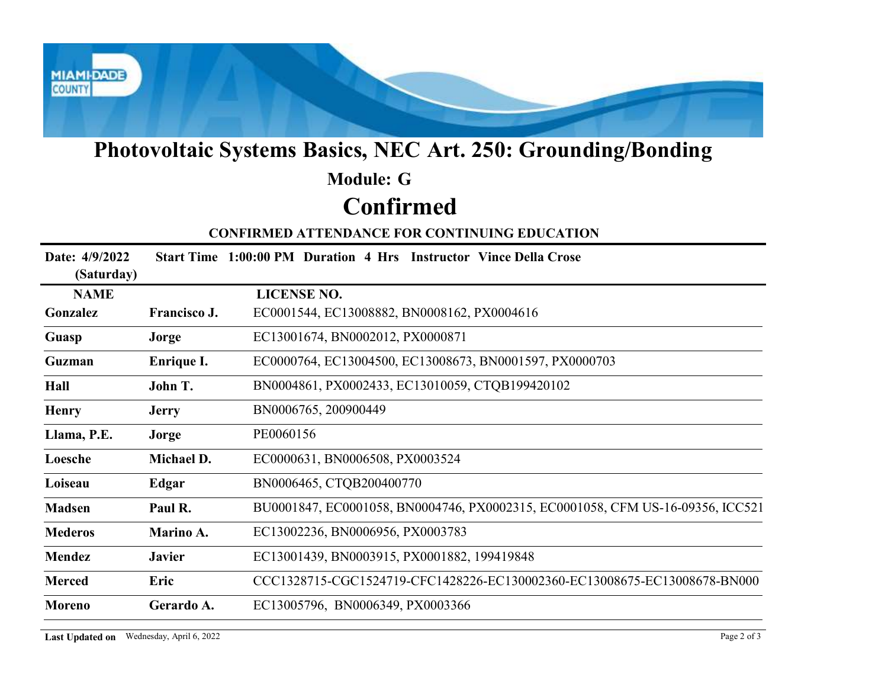

# Photovoltaic Systems Basics, NEC Art. 250: Grounding/Bonding

## Confirmed Module: G

|                                          |                   | <b>Photovoltaic Systems Basics, NEC Art. 250: Grounding/Bonding</b>            |
|------------------------------------------|-------------------|--------------------------------------------------------------------------------|
|                                          |                   | <b>Module: G</b>                                                               |
|                                          |                   | <b>Confirmed</b>                                                               |
|                                          |                   | <b>CONFIRMED ATTENDANCE FOR CONTINUING EDUCATION</b>                           |
| Date: 4/9/2022<br>(Saturday)             |                   | Start Time 1:00:00 PM Duration 4 Hrs Instructor Vince Della Crose              |
| <b>NAME</b>                              |                   | <b>LICENSE NO.</b>                                                             |
| Gonzalez                                 | Francisco J.      | EC0001544, EC13008882, BN0008162, PX0004616                                    |
| Guasp                                    | Jorge             | EC13001674, BN0002012, PX0000871                                               |
| Guzman                                   | <b>Enrique I.</b> | EC0000764, EC13004500, EC13008673, BN0001597, PX0000703                        |
| Hall                                     | John T.           | BN0004861, PX0002433, EC13010059, CTQB199420102                                |
| <b>Henry</b>                             | <b>Jerry</b>      | BN0006765, 200900449                                                           |
| Llama, P.E.                              | Jorge             | PE0060156                                                                      |
| Loesche                                  | Michael D.        | EC0000631, BN0006508, PX0003524                                                |
| Loiseau                                  | Edgar             | BN0006465, CTQB200400770                                                       |
| <b>Madsen</b>                            | Paul R.           | BU0001847, EC0001058, BN0004746, PX0002315, EC0001058, CFM US-16-09356, ICC521 |
| <b>Mederos</b>                           | Marino A.         | EC13002236, BN0006956, PX0003783                                               |
| Mendez                                   | <b>Javier</b>     | EC13001439, BN0003915, PX0001882, 199419848                                    |
| <b>Merced</b>                            | Eric              | CCC1328715-CGC1524719-CFC1428226-EC130002360-EC13008675-EC13008678-BN000       |
| Moreno                                   | Gerardo A.        | EC13005796, BN0006349, PX0003366                                               |
| Last Updated on Wednesday, April 6, 2022 |                   | Page 2 of 3                                                                    |